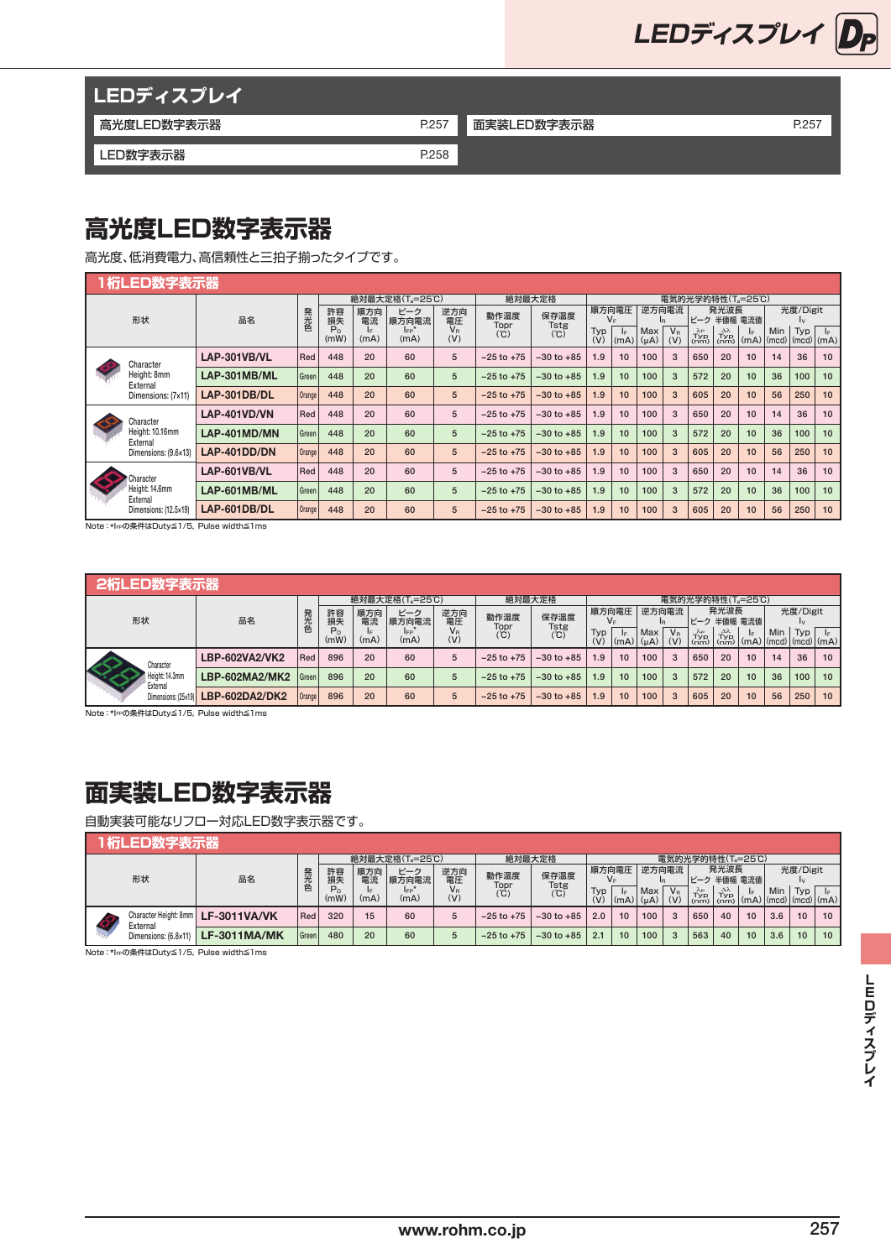

| <b>LEDディスプレイ</b> |       |             |       |
|------------------|-------|-------------|-------|
| 高光度LED数字表示器      | P.257 | 面実装LED数字表示器 | P.257 |
| LED数字表示器         | P.258 |             |       |

## **高光度LED数字表示器**

高光度、低消費電力、高信頼性と三拍子揃ったタイプです。

| 1 桁LED数字表示器                 |              |        |                 |            |                             |                    |                |                |                  |             |                  |                    |                                      |                                           |              |     |                |                               |  |  |
|-----------------------------|--------------|--------|-----------------|------------|-----------------------------|--------------------|----------------|----------------|------------------|-------------|------------------|--------------------|--------------------------------------|-------------------------------------------|--------------|-----|----------------|-------------------------------|--|--|
|                             |              |        |                 |            | 絶対最大定格(T <sub>a</sub> =25℃) |                    |                | 絶対最大定格         | 電気的光学的特性(Ta=25℃) |             |                  |                    |                                      |                                           |              |     |                |                               |  |  |
| 形状                          | 品名           | 発光色    | 許容<br>損失        | 順方向<br>電流  | ピーク<br>順方向電流                | 逆方向<br>電圧          | 動作温度<br>Topr   | 保存温度<br>Tstg   |                  | 順方向電圧<br>V⊧ | 逆方向電流            | IR.                | ピーク                                  | 発光波長<br>半値幅 電流値                           |              |     | 光度/Digit<br>Iv |                               |  |  |
|                             |              |        | $P_{n}$<br>(mW) | I⊧<br>(mA) | $I_{FP}$<br>(mA)            | $V_{\rm R}$<br>(V) | (°C)           | (°C)           | Typ<br>(V)       | E <br>(mA)  | Max<br>$(\mu A)$ | $V_{\rm R}$<br>(V) | $\lambda_{\rm P}$<br>$Typ$<br>$(nm)$ | $\Delta \lambda$<br>$Typ$ <sub>(nm)</sub> | le.<br> (mA) | Min | Typ            | l⊧.<br>$(mcd)$ $(mcd)$ $(mA)$ |  |  |
| Character                   | LAP-301VB/VL | Red    | 448             | 20         | 60                          | 5                  | $-25$ to $+75$ | $-30$ to $+85$ | 1.9              | 10          | 100              | 3                  | 650                                  | 20                                        | 10           | 14  | 36             | 10                            |  |  |
| Height: 8mm<br>External     | LAP-301MB/ML | Green  | 448             | 20         | 60                          | 5                  | $-25$ to $+75$ | $-30$ to $+85$ | 1.9              | 10          | 100              | 3                  | 572                                  | 20                                        | 10           | 36  | 100            | 10                            |  |  |
| Dimensions: (7x11)          | LAP-301DB/DL | Orange | 448             | 20         | 60                          | 5                  | $-25$ to $+75$ | $-30$ to $+85$ | 1.9              | 10          | 100              | 3                  | 605                                  | 20                                        | 10           | 56  | 250            | 10                            |  |  |
| Character                   | LAP-401VD/VN | Red    | 448             | 20         | 60                          | 5                  | $-25$ to $+75$ | $-30$ to $+85$ | 1.9              | 10          | 100              | 3                  | 650                                  | 20                                        | 10           | 14  | 36             | 10                            |  |  |
| Height: 10.16mm<br>External | LAP-401MD/MN | Green  | 448             | 20         | 60                          | 5                  | $-25$ to $+75$ | $-30$ to $+85$ | 1.9              | 10          | 100              | 3                  | 572                                  | 20                                        | 10           | 36  | 100            | 10                            |  |  |
| Dimensions: (9.6×13)        | LAP-401DD/DN | Orange | 448             | 20         | 60                          | 5                  | $-25$ to $+75$ | $-30$ to $+85$ | 1.9              | 10          | 100              | 3                  | 605                                  | 20                                        | 10           | 56  | 250            | 10                            |  |  |
| Character                   | LAP-601VB/VL | Red    | 448             | 20         | 60                          | 5                  | $-25$ to $+75$ | $-30$ to $+85$ | 1.9              | 10          | 100              | 3                  | 650                                  | 20                                        | 10           | 14  | 36             | 10                            |  |  |
| Height: 14.6mm<br>External  | LAP-601MB/ML | Green  | 448             | 20         | 60                          | 5                  | $-25$ to $+75$ | $-30$ to $+85$ | 1.9              | 10          | 100              | 3                  | 572                                  | 20                                        | 10           | 36  | 100            | 10                            |  |  |
| Dimensions: (12.5×19)       | LAP-601DB/DL | Orange | 448             | 20         | 60                          | 5                  | $-25$ to $+75$ | $-30$ to $+85$ | 1.9              | 10          | 100              | 3                  | 605                                  | 20                                        | 10           | 56  | 250            | 10                            |  |  |

Note:\*IFPの条件はDuty≦1/5,Pulse width≦1ms

|                            | 2桁LED数字表示器     |         |                 |           |                             |              |                |                     |            |             |                  |              |                                                                                                                                                               |      |                                                                      |     |          |    |  |
|----------------------------|----------------|---------|-----------------|-----------|-----------------------------|--------------|----------------|---------------------|------------|-------------|------------------|--------------|---------------------------------------------------------------------------------------------------------------------------------------------------------------|------|----------------------------------------------------------------------|-----|----------|----|--|
|                            |                |         |                 |           | 絶対最大定格(T <sub>a</sub> =25℃) |              | 絶対最大定格         | 電気的光学的特性(T』=25℃)    |            |             |                  |              |                                                                                                                                                               |      |                                                                      |     |          |    |  |
| 形状                         | 品名             | 発光色     | 許容<br>損失        | 順方向<br>電流 | ピーク<br>順方向電流                | 逆方向<br>電圧    | 動作温度<br>Topr   | 保存温度<br><b>Tstg</b> |            | 順方向電圧       | 逆方向電流            |              |                                                                                                                                                               | 発光波長 | ピーク 半値幅 電流値                                                          |     | 光度/Digit |    |  |
|                            |                |         | $P_{D}$<br>(mW) | (mA)      | IFP<br>(mA)                 | $V_R$<br>(V) | (°C)           | (C)                 | Typ<br>(V) | IF.<br>(mA) | Max<br>$(\mu A)$ | $V_R$<br>(V) | $\begin{array}{c} \lambda_P \\ \text{Typ} \\ \text{(nm)} \\ \text{(nm)} \end{array} \begin{array}{c} \Delta \lambda \\ \text{Typ} \\ \text{(nm)} \end{array}$ |      | IF.<br>$\lfloor$ (mA) $\lfloor$ (mcd) $\lfloor$ (mcd) $\lfloor$ (mA) | Min | Typ      |    |  |
| Character                  | LBP-602VA2/VK2 | Red     | 896             | 20        | 60                          | 5            | $-25$ to $+75$ | $-30$ to $+85$      | 1.9        | 10          | 100              | 3            | 650                                                                                                                                                           | 20   | 10                                                                   | 14  | 36       | 10 |  |
| Height: 14.3mm<br>External | LBP-602MA2/MK2 | l Green | 896             | 20        | 60                          | 5            | $-25$ to $+75$ | $-30$ to $+85$      | 1.9        | 10          | 100              | 3            | 572                                                                                                                                                           | 20   | 10                                                                   | 36  | 100      | 10 |  |
| Dimensions: (25×19)        | LBP-602DA2/DK2 | Orange  | 896             | 20        | 60                          | 5            | $-25$ to $+75$ | $-30$ to $+85$      | 1.9        | 10          | 100              | 3            | 605                                                                                                                                                           | 20   | 10                                                                   | 56  | 250      | 10 |  |

Note: \*IFPの条件はDuty≦1/5, Pulse width≦1ms

## **面実装LED数字表示器**

自動実装可能なリフロー対応LED数字表示器です。

### **1桁LED数字表示器**

|    |                      |                                      |                        |            |                    | 絶対最大定格(Ta=25℃) |              | 絶対最大定格         | 雷気的光学的特性(Ta=25℃) |             |             |                    |                                              |                                         |                                                                      |     |          |    |    |
|----|----------------------|--------------------------------------|------------------------|------------|--------------------|----------------|--------------|----------------|------------------|-------------|-------------|--------------------|----------------------------------------------|-----------------------------------------|----------------------------------------------------------------------|-----|----------|----|----|
| 形状 | 品名                   | 発光色                                  | 許容<br>損失               | 順方向<br>電流  | ピーク<br>順方向電流       | 逆方向<br>電圧      | 動作温度<br>Topr | 保存温度<br>Tstg   |                  | 順方向電圧       | 逆方向電流       |                    | ピーク 半値幅 電流値                                  | 発光波長                                    |                                                                      |     | 光度/Digit |    |    |
|    |                      |                                      | P <sub>D</sub><br>(mW) | IF<br>(mA) | <b>IFP</b><br>(mA) | Vв<br>(V)      | (°C)         | (C)            | Typ<br>(V)       | IF.<br>(mA) | Max<br>(uA) | $V_{\rm R}$<br>(V) | $T_{\text{VP}}^{\lambda_{\text{P}}}$<br>(nm) | $T_{\text{VP}}^{\Delta\lambda}$<br>(nm) | l⊧.<br>$\vert$ (mA) $\vert$ (mcd) $\vert$ (mcd) $\vert$ (mA) $\vert$ | Min | Typ      |    |    |
|    | External             | Character Height: 8mm   LF-3011VA/VK | Red                    | 320        | 15                 | 60             | b            | $-25$ to $+75$ | $-30$ to $+85$   | 2.0         | 10          | 100                | 3                                            | 650                                     | 40                                                                   | 10  | 3.6      | 10 | 10 |
|    | Dimensions: (6.8×11) | <b>LF-3011MA/MK</b>                  | Green                  | 480        | 20                 | 60             | 5            | $-25$ to $+75$ | $-30$ to $+85$   | 2.1         | 10          | 100                | $\mathbf{3}$                                 | 563                                     | 40                                                                   | 10  | 3.6      | 10 | 10 |

Note:\*IFPの条件はDuty≦1/5,Pulse width≦1ms